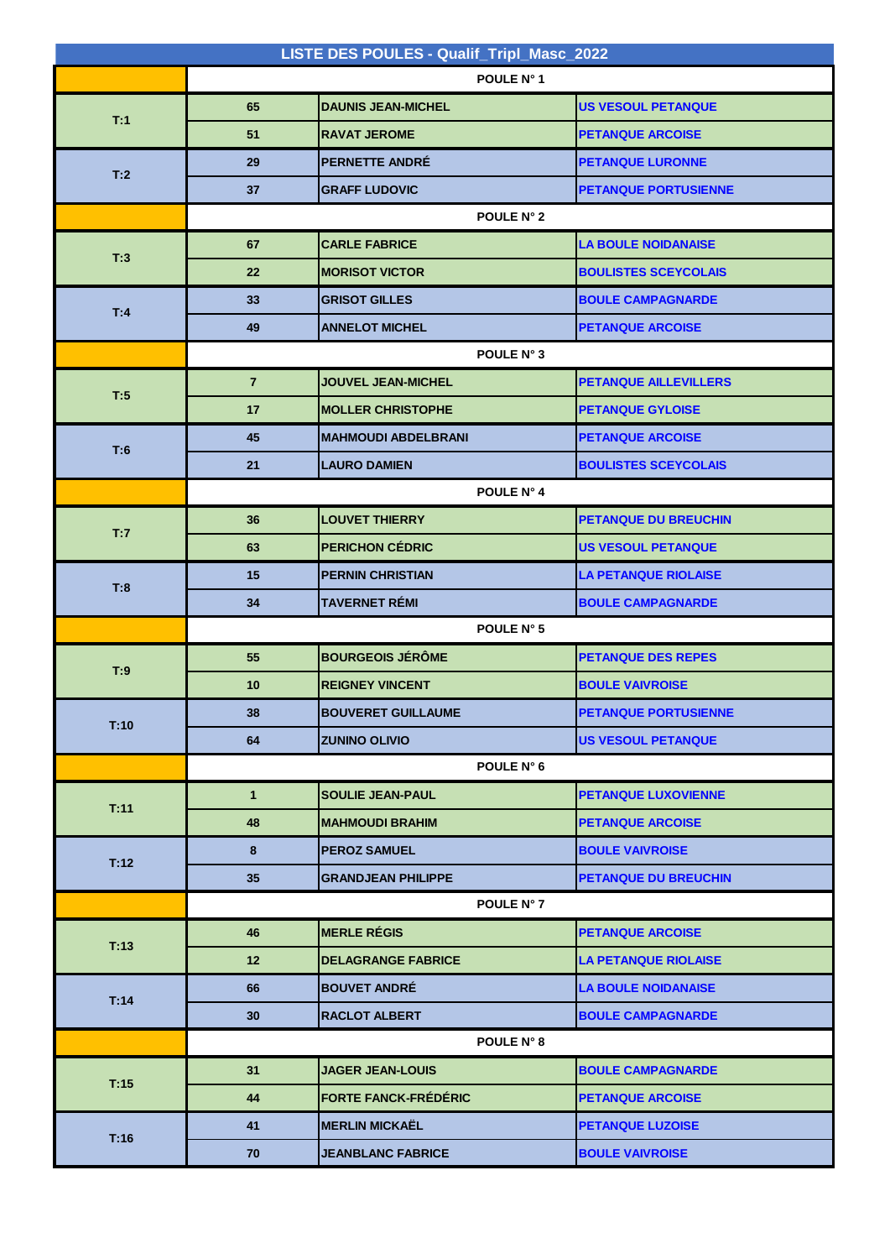| LISTE DES POULES - Qualif_Tripl_Masc_2022 |                |                             |                              |  |  |
|-------------------------------------------|----------------|-----------------------------|------------------------------|--|--|
|                                           | POULE N° 1     |                             |                              |  |  |
| T:1                                       | 65             | <b>DAUNIS JEAN-MICHEL</b>   | <b>US VESOUL PETANQUE</b>    |  |  |
|                                           | 51             | <b>RAVAT JEROME</b>         | <b>PETANQUE ARCOISE</b>      |  |  |
| T:2                                       | 29             | <b>PERNETTE ANDRÉ</b>       | <b>PETANQUE LURONNE</b>      |  |  |
|                                           | 37             | <b>GRAFF LUDOVIC</b>        | <b>PETANQUE PORTUSIENNE</b>  |  |  |
|                                           | POULE N° 2     |                             |                              |  |  |
| T:3                                       | 67             | <b>CARLE FABRICE</b>        | <b>LA BOULE NOIDANAISE</b>   |  |  |
|                                           | 22             | <b>MORISOT VICTOR</b>       | <b>BOULISTES SCEYCOLAIS</b>  |  |  |
| T:4                                       | 33             | <b>GRISOT GILLES</b>        | <b>BOULE CAMPAGNARDE</b>     |  |  |
|                                           | 49             | <b>ANNELOT MICHEL</b>       | <b>PETANQUE ARCOISE</b>      |  |  |
|                                           | POULE N° 3     |                             |                              |  |  |
|                                           | $\overline{7}$ | <b>JOUVEL JEAN-MICHEL</b>   | <b>PETANQUE AILLEVILLERS</b> |  |  |
| T:5                                       | 17             | <b>MOLLER CHRISTOPHE</b>    | <b>PETANQUE GYLOISE</b>      |  |  |
|                                           | 45             | <b>MAHMOUDI ABDELBRANI</b>  | <b>PETANQUE ARCOISE</b>      |  |  |
| T:6                                       | 21             | <b>LAURO DAMIEN</b>         | <b>BOULISTES SCEYCOLAIS</b>  |  |  |
|                                           | POULE N° 4     |                             |                              |  |  |
| T:7                                       | 36             | <b>LOUVET THIERRY</b>       | <b>PETANQUE DU BREUCHIN</b>  |  |  |
|                                           | 63             | <b>PERICHON CÉDRIC</b>      | <b>US VESOUL PETANQUE</b>    |  |  |
| T:8                                       | 15             | <b>PERNIN CHRISTIAN</b>     | <b>LA PETANQUE RIOLAISE</b>  |  |  |
|                                           | 34             | <b>TAVERNET RÉMI</b>        | <b>BOULE CAMPAGNARDE</b>     |  |  |
|                                           |                | POULE N° 5                  |                              |  |  |
| T:9                                       | 55             | <b>BOURGEOIS JÉRÔME</b>     | <b>PETANQUE DES REPES</b>    |  |  |
|                                           | 10             | <b>REIGNEY VINCENT</b>      | <b>BOULE VAIVROISE</b>       |  |  |
| T:10                                      | 38             | <b>BOUVERET GUILLAUME</b>   | <b>PETANQUE PORTUSIENNE</b>  |  |  |
|                                           | 64             | <b>ZUNINO OLIVIO</b>        | <b>US VESOUL PETANQUE</b>    |  |  |
|                                           | POULE N° 6     |                             |                              |  |  |
| T:11                                      | $\mathbf{1}$   | <b>SOULIE JEAN-PAUL</b>     | <b>PETANQUE LUXOVIENNE</b>   |  |  |
|                                           | 48             | <b>MAHMOUDI BRAHIM</b>      | <b>PETANQUE ARCOISE</b>      |  |  |
| T:12                                      | 8              | <b>PEROZ SAMUEL</b>         | <b>BOULE VAIVROISE</b>       |  |  |
|                                           | 35             | <b>GRANDJEAN PHILIPPE</b>   | <b>PETANQUE DU BREUCHIN</b>  |  |  |
|                                           | POULE N° 7     |                             |                              |  |  |
| T:13                                      | 46             | <b>MERLE RÉGIS</b>          | <b>PETANQUE ARCOISE</b>      |  |  |
|                                           | 12             | <b>DELAGRANGE FABRICE</b>   | <b>LA PETANQUE RIOLAISE</b>  |  |  |
| T:14                                      | 66             | <b>BOUVET ANDRÉ</b>         | <b>LA BOULE NOIDANAISE</b>   |  |  |
|                                           | 30             | <b>RACLOT ALBERT</b>        | <b>BOULE CAMPAGNARDE</b>     |  |  |
|                                           |                | POULE N° 8                  |                              |  |  |
| T:15                                      | 31             | <b>JAGER JEAN-LOUIS</b>     | <b>BOULE CAMPAGNARDE</b>     |  |  |
|                                           | 44             | <b>FORTE FANCK-FRÉDÉRIC</b> | <b>PETANQUE ARCOISE</b>      |  |  |
| T:16                                      | 41             | <b>MERLIN MICKAËL</b>       | <b>PETANQUE LUZOISE</b>      |  |  |
|                                           | 70             | <b>JEANBLANC FABRICE</b>    | <b>BOULE VAIVROISE</b>       |  |  |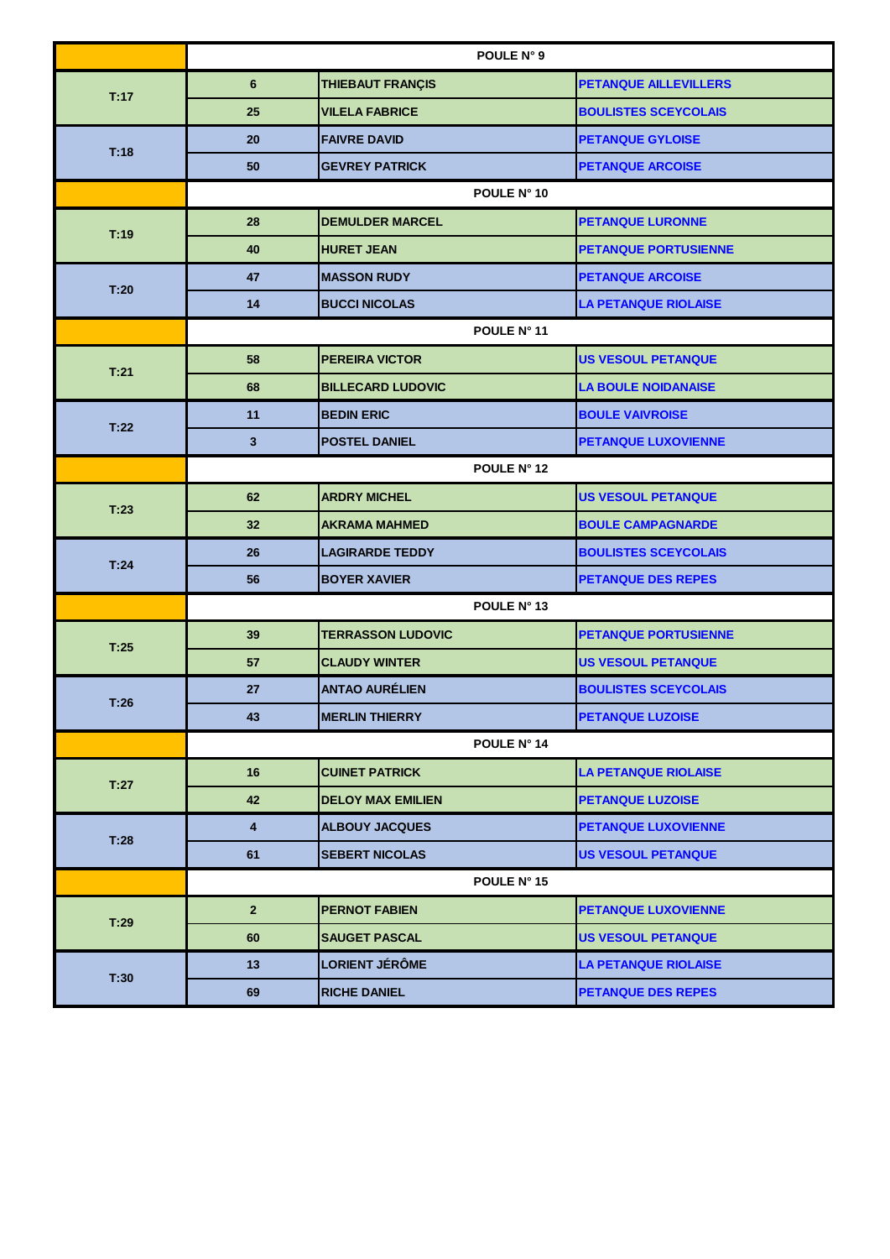|      | POULE N° 9              |                          |                              |  |
|------|-------------------------|--------------------------|------------------------------|--|
| T:17 | $6\phantom{1}$          | THIEBAUT FRANÇIS         | <b>PETANQUE AILLEVILLERS</b> |  |
|      | 25                      | <b>VILELA FABRICE</b>    | <b>BOULISTES SCEYCOLAIS</b>  |  |
| T:18 | 20                      | <b>FAIVRE DAVID</b>      | <b>PETANQUE GYLOISE</b>      |  |
|      | 50                      | <b>GEVREY PATRICK</b>    | <b>PETANQUE ARCOISE</b>      |  |
|      | POULE N° 10             |                          |                              |  |
| T:19 | 28                      | <b>DEMULDER MARCEL</b>   | <b>PETANQUE LURONNE</b>      |  |
|      | 40                      | <b>HURET JEAN</b>        | <b>PETANQUE PORTUSIENNE</b>  |  |
| T:20 | 47                      | <b>MASSON RUDY</b>       | <b>PETANQUE ARCOISE</b>      |  |
|      | 14                      | <b>BUCCI NICOLAS</b>     | <b>LA PETANQUE RIOLAISE</b>  |  |
|      | POULE N° 11             |                          |                              |  |
| T:21 | 58                      | <b>PEREIRA VICTOR</b>    | <b>US VESOUL PETANQUE</b>    |  |
|      | 68                      | <b>BILLECARD LUDOVIC</b> | <b>LA BOULE NOIDANAISE</b>   |  |
| T:22 | 11                      | <b>BEDIN ERIC</b>        | <b>BOULE VAIVROISE</b>       |  |
|      | 3                       | <b>POSTEL DANIEL</b>     | <b>PETANQUE LUXOVIENNE</b>   |  |
|      | POULE N° 12             |                          |                              |  |
| T:23 | 62                      | <b>ARDRY MICHEL</b>      | <b>US VESOUL PETANQUE</b>    |  |
|      | 32                      | <b>AKRAMA MAHMED</b>     | <b>BOULE CAMPAGNARDE</b>     |  |
| T:24 | 26                      | <b>LAGIRARDE TEDDY</b>   | <b>BOULISTES SCEYCOLAIS</b>  |  |
|      | 56                      | <b>BOYER XAVIER</b>      | <b>PETANQUE DES REPES</b>    |  |
|      | POULE N° 13             |                          |                              |  |
| T:25 | 39                      | <b>TERRASSON LUDOVIC</b> | <b>PETANQUE PORTUSIENNE</b>  |  |
|      | 57                      | <b>CLAUDY WINTER</b>     | <b>US VESOUL PETANQUE</b>    |  |
| T:26 | 27                      | <b>ANTAO AURÉLIEN</b>    | <b>BOULISTES SCEYCOLAIS</b>  |  |
|      | 43                      | <b>MERLIN THIERRY</b>    | <b>PETANQUE LUZOISE</b>      |  |
|      | POULE N° 14             |                          |                              |  |
| T:27 | 16                      | <b>CUINET PATRICK</b>    | <b>LA PETANQUE RIOLAISE</b>  |  |
|      | 42                      | <b>DELOY MAX EMILIEN</b> | <b>PETANQUE LUZOISE</b>      |  |
| T:28 | $\overline{\mathbf{4}}$ | <b>ALBOUY JACQUES</b>    | <b>PETANQUE LUXOVIENNE</b>   |  |
|      | 61                      | <b>SEBERT NICOLAS</b>    | <b>US VESOUL PETANQUE</b>    |  |
|      |                         | POULE N° 15              |                              |  |
| T:29 | $\mathbf{2}$            | <b>PERNOT FABIEN</b>     | <b>PETANQUE LUXOVIENNE</b>   |  |
|      | 60                      | <b>SAUGET PASCAL</b>     | <b>US VESOUL PETANQUE</b>    |  |
| T:30 | 13                      | <b>LORIENT JÉRÔME</b>    | <b>LA PETANQUE RIOLAISE</b>  |  |
|      | 69                      | <b>RICHE DANIEL</b>      | <b>PETANQUE DES REPES</b>    |  |